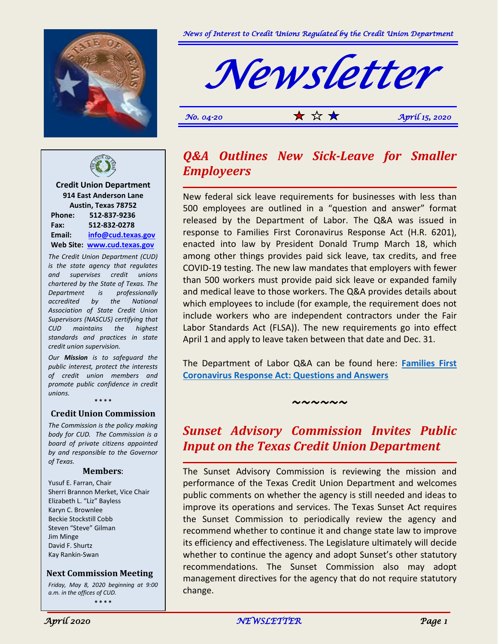



*No.* 04-20  $\star$   $\star$   $\star$   $\star$   $\star$  *April 15, 2020* 



**Credit Union Department 914 East Anderson Lane Austin, Texas 78752 Phone: 512-837-9236 Fax: 512-832-0278 Email: [info@cud.texas.gov](mailto:info@cud.texas.gov) Web Site: [www.cud.texas.gov](http://www.cud.texas.gov/)**

*The Credit Union Department (CUD) is the state agency that regulates and supervises credit unions chartered by the State of Texas. The Department is professionally accredited by the National Association of State Credit Union Supervisors (NASCUS) certifying that CUD maintains the highest standards and practices in state credit union supervision.*

*Our Mission is to safeguard the public interest, protect the interests of credit union members and promote public confidence in credit unions.*

**\* \* \* \***

#### **Credit Union Commission**

*The Commission is the policy making body for CUD. The Commission is a board of private citizens appointed by and responsible to the Governor of Texas.*

#### **Members**:

Yusuf E. Farran, Chair Sherri Brannon Merket, Vice Chair Elizabeth L. "Liz" Bayless Karyn C. Brownlee Beckie Stockstill Cobb Steven "Steve" Gilman Jim Minge David F. Shurtz Kay Rankin-Swan

#### **Next Commission Meeting**

*Friday, May 8, 2020 beginning at 9:00 a.m. in the offices of CUD.* **\* \* \* \***



New federal sick leave requirements for businesses with less than 500 employees are outlined in a "question and answer" format released by the Department of Labor. The Q&A was issued in response to Families First Coronavirus Response Act (H.R. 6201), enacted into law by President Donald Trump March 18, which among other things provides paid sick leave, tax credits, and free COVID-19 testing. The new law mandates that employers with fewer than 500 workers must provide paid sick leave or expanded family and medical leave to those workers. The Q&A provides details about which employees to include (for example, the requirement does not include workers who are independent contractors under the Fair Labor Standards Act (FLSA)). The new requirements go into effect April 1 and apply to leave taken between that date and Dec. 31.

The Department of Labor Q&A can be found here: **[Families First](https://link.zixcentral.com/u/2e2276b3/2BARlzVw6hGoapY7g-oQLQ?u=http%3A%2F%2Fr20.rs6.net%2Ftn.jsp%3Ff%3D001INGell3Kx5PGXoeVKsqq09XrxkHNJTjvZkBx3RJX3J9IeB9-cYcZHeez9NOMoYW_oGhzNgDu7UOVgrfZYSf_7dZ9kQLWXeCF_vA0S6o6jtJ5QQYdgFYIFtdbSD58MFe2wfKIMGgFA1SerAPGFwz6DEZRzm8p4ZeBqVt8wXeAU_RzjE3qJdTxSrzIVentaLtBH0_PrE2h6FA%3D%26c%3D7VuWosrBVG-qC0JOQX2I1RuvCuYExzRiqe_uzRFuluH7RaTCLjqJBg%3D%3D%26ch%3D9gCgc-2bUM-ADdIXGCxZo4ExtWWn0knnxGjRz3m5CKgAYVnczmb1Mg%3D%3D)  [Coronavirus Response Act: Questions and Answers](https://link.zixcentral.com/u/2e2276b3/2BARlzVw6hGoapY7g-oQLQ?u=http%3A%2F%2Fr20.rs6.net%2Ftn.jsp%3Ff%3D001INGell3Kx5PGXoeVKsqq09XrxkHNJTjvZkBx3RJX3J9IeB9-cYcZHeez9NOMoYW_oGhzNgDu7UOVgrfZYSf_7dZ9kQLWXeCF_vA0S6o6jtJ5QQYdgFYIFtdbSD58MFe2wfKIMGgFA1SerAPGFwz6DEZRzm8p4ZeBqVt8wXeAU_RzjE3qJdTxSrzIVentaLtBH0_PrE2h6FA%3D%26c%3D7VuWosrBVG-qC0JOQX2I1RuvCuYExzRiqe_uzRFuluH7RaTCLjqJBg%3D%3D%26ch%3D9gCgc-2bUM-ADdIXGCxZo4ExtWWn0knnxGjRz3m5CKgAYVnczmb1Mg%3D%3D)**

#### *~~~~~~*

### *Sunset Advisory Commission Invites Public Input on the Texas Credit Union Department*

The Sunset Advisory Commission is reviewing the mission and performance of the Texas Credit Union Department and welcomes public comments on whether the agency is still needed and ideas to improve its operations and services. The Texas Sunset Act requires the Sunset Commission to periodically review the agency and recommend whether to continue it and change state law to improve its efficiency and effectiveness. The Legislature ultimately will decide whether to continue the agency and adopt Sunset's other statutory recommendations. The Sunset Commission also may adopt management directives for the agency that do not require statutory change.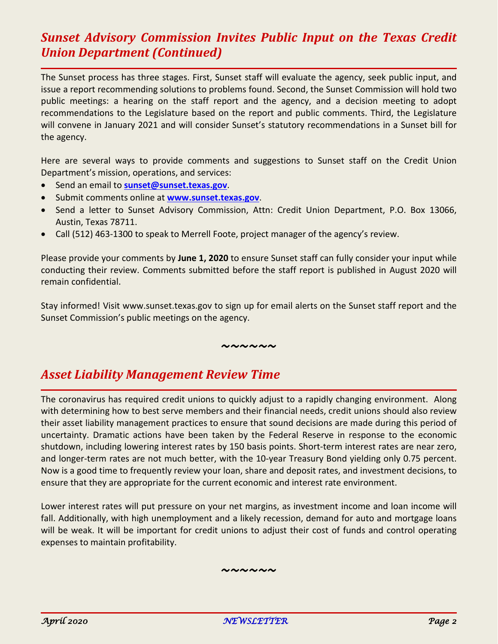### *Sunset Advisory Commission Invites Public Input on the Texas Credit Union Department (Continued)*

The Sunset process has three stages. First, Sunset staff will evaluate the agency, seek public input, and issue a report recommending solutions to problems found. Second, the Sunset Commission will hold two public meetings: a hearing on the staff report and the agency, and a decision meeting to adopt recommendations to the Legislature based on the report and public comments. Third, the Legislature will convene in January 2021 and will consider Sunset's statutory recommendations in a Sunset bill for the agency.

Here are several ways to provide comments and suggestions to Sunset staff on the Credit Union Department's mission, operations, and services:

- Send an email to **[sunset@sunset.texas.gov](mailto:sunset@sunset.texas.gov)**.
- Submit comments online at **[www.sunset.texas.gov](http://www.sunset.texas.gov/)**.
- Send a letter to Sunset Advisory Commission, Attn: Credit Union Department, P.O. Box 13066, Austin, Texas 78711.
- Call (512) 463-1300 to speak to Merrell Foote, project manager of the agency's review.

Please provide your comments by **June 1, 2020** to ensure Sunset staff can fully consider your input while conducting their review. Comments submitted before the staff report is published in August 2020 will remain confidential.

Stay informed! Visit www.sunset.texas.gov to sign up for email alerts on the Sunset staff report and the Sunset Commission's public meetings on the agency.

*~~~~~~*

# *Asset Liability Management Review Time*

The coronavirus has required credit unions to quickly adjust to a rapidly changing environment. Along with determining how to best serve members and their financial needs, credit unions should also review their asset liability management practices to ensure that sound decisions are made during this period of uncertainty. Dramatic actions have been taken by the Federal Reserve in response to the economic shutdown, including lowering interest rates by 150 basis points. Short-term interest rates are near zero, and longer-term rates are not much better, with the 10-year Treasury Bond yielding only 0.75 percent. Now is a good time to frequently review your loan, share and deposit rates, and investment decisions, to ensure that they are appropriate for the current economic and interest rate environment.

Lower interest rates will put pressure on your net margins, as investment income and loan income will fall. Additionally, with high unemployment and a likely recession, demand for auto and mortgage loans will be weak. It will be important for credit unions to adjust their cost of funds and control operating expenses to maintain profitability.

*~~~~~~*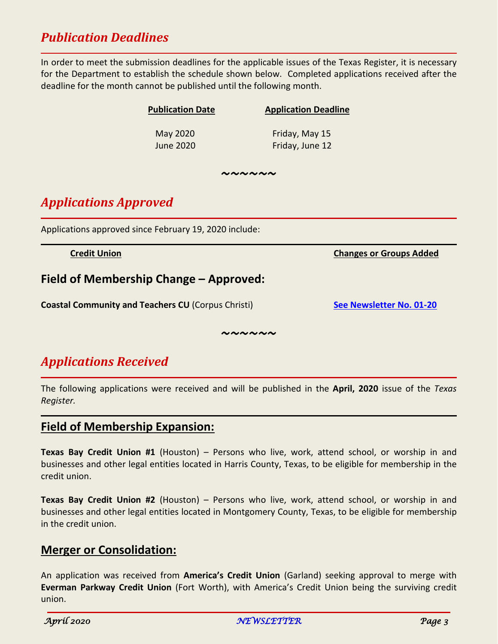# *Publication Deadlines*

In order to meet the submission deadlines for the applicable issues of the Texas Register, it is necessary for the Department to establish the schedule shown below. Completed applications received after the deadline for the month cannot be published until the following month.

| <b>Publication Date</b> | <b>Application Deadline</b> |
|-------------------------|-----------------------------|
| May 2020                | Friday, May 15              |
| <b>June 2020</b>        | Friday, June 12             |
|                         |                             |

*~~~~~~*

# *Applications Approved*

Applications approved since February 19, 2020 include:

### **Field of Membership Change – Approved:**

**Coastal Community and Teachers CU** (Corpus Christi) **[See Newsletter No.](https://cud.texas.gov/wp-content/uploads/2015/11/January_2020-1.pdf) 01-20** 

*~~~~~~*

# *Applications Received*

The following applications were received and will be published in the **April, 2020** issue of the *Texas Register.*

#### **Field of Membership Expansion:**

**Texas Bay Credit Union #1** (Houston) – Persons who live, work, attend school, or worship in and businesses and other legal entities located in Harris County, Texas, to be eligible for membership in the credit union.

**Texas Bay Credit Union #2** (Houston) – Persons who live, work, attend school, or worship in and businesses and other legal entities located in Montgomery County, Texas, to be eligible for membership in the credit union.

### **Merger or Consolidation:**

An application was received from **America's Credit Union** (Garland) seeking approval to merge with **Everman Parkway Credit Union** (Fort Worth), with America's Credit Union being the surviving credit union.

**Credit Union Changes or Groups Added**